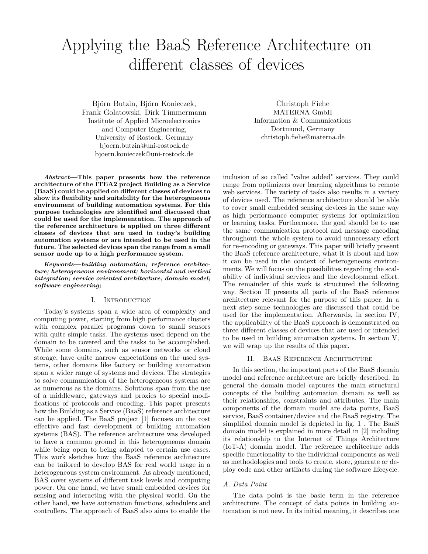# Applying the BaaS Reference Architecture on different classes of devices

Björn Butzin, Björn Konieczek, Frank Golatowski, Dirk Timmermann Institute of Applied Microelectronics and Computer Engineering, University of Rostock, Germany bjoern.butzin@uni-rostock.de bjoern.konieczek@uni-rostock.de

*Abstract***—This paper presents how the reference architecture of the ITEA2 project Building as a Service (BaaS) could be applied on different classes of devices to show its flexibility and suitability for the heterogeneous environment of building automation systems. For this purpose technologies are identified and discussed that could be used for the implementation. The approach of the reference architecture is applied on three different classes of devices that are used in today's building automation systems or are intended to be used in the future. The selected devices span the range from a small sensor node up to a high performance system.**

*Keywords***—***building automation; reference architecture; heterogeneous environment; horizontal and vertical integration; service oriented architecture; domain model; software engineering;*

#### I. Introduction

Today's systems span a wide area of complexity and computing power, starting from high performance clusters with complex parallel programs down to small sensors with quite simple tasks. The systems used depend on the domain to be covered and the tasks to be accomplished. While some domains, such as sensor networks or cloud storage, have quite narrow expectations on the used systems, other domains like factory or building automation span a wider range of systems and devices. The strategies to solve communication of the heterogeneous systems are as numerous as the domains. Solutions span from the use of a middleware, gateways and proxies to special modifications of protocols and encoding. This paper presents how the Building as a Service (BaaS) reference architecture can be applied. The BaaS project [1] focuses on the cost effective and fast development of building automation systems (BAS). The reference architecture was developed to have a common ground in this heterogeneous domain while being open to being adapted to certain use cases. This work sketches how the BaaS reference architecture can be tailored to develop BAS for real world usage in a heterogeneous system environment. As already mentioned, BAS cover systems of different task levels and computing power. On one hand, we have small embedded devices for sensing and interacting with the physical world. On the other hand, we have automation functions, schedulers and controllers. The approach of BaaS also aims to enable the

Christoph Fiehe MATERNA GmbH Information & Communications Dortmund, Germany christoph.fiehe@materna.de

inclusion of so called "value added" services. They could range from optimizers over learning algorithms to remote web services. The variety of tasks also results in a variety of devices used. The reference architecture should be able to cover small embedded sensing devices in the same way as high performance computer systems for optimization or learning tasks. Furthermore, the goal should be to use the same communication protocol and message encoding throughout the whole system to avoid unnecessary effort for re-encoding or gateways. This paper will briefly present the BaaS reference architecture, what it is about and how it can be used in the context of heterogeneous environments. We will focus on the possibilities regarding the scalability of individual services and the development effort. The remainder of this work is structured the following way. Section II presents all parts of the BaaS reference architecture relevant for the purpose of this paper. In a next step some technologies are discussed that could be used for the implementation. Afterwards, in section IV, the applicability of the BaaS approach is demonstrated on three different classes of devices that are used or intended to be used in building automation systems. In section V, we will wrap up the results of this paper.

## II. BaaS Reference Architecture

In this section, the important parts of the BaaS domain model and reference architecture are briefly described. In general the domain model captures the main structural concepts of the building automation domain as well as their relationships, constraints and attributes. The main components of the domain model are data points, BaaS service, BaaS container/device and the BaaS registry. The simplified domain model is depicted in fig. 1 . The BaaS domain model is explained in more detail in [2] including its relationship to the Internet of Things Architecture (IoT-A) domain model. The reference architecture adds specific functionality to the individual components as well as methodologies and tools to create, store, generate or deploy code and other artifacts during the software lifecycle.

#### *A. Data Point*

The data point is the basic term in the reference architecture. The concept of data points in building automation is not new. In its initial meaning, it describes one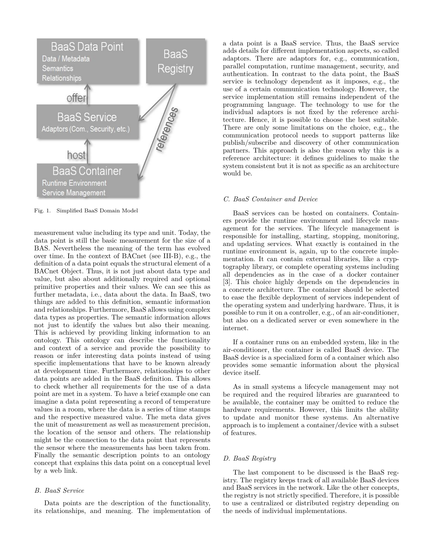

Fig. 1. Simplified BaaS Domain Model

measurement value including its type and unit. Today, the data point is still the basic measurement for the size of a BAS. Nevertheless the meaning of the term has evolved over time. In the context of BACnet (see III-B), e.g., the definition of a data point equals the structural element of a BACnet Object. Thus, it is not just about data type and value, but also about additionally required and optional primitive properties and their values. We can see this as further metadata, i.e., data about the data. In BaaS, two things are added to this definition, semantic information and relationships. Furthermore, BaaS allows using complex data types as properties. The semantic information allows not just to identify the values but also their meaning. This is achieved by providing linking information to an ontology. This ontology can describe the functionality and context of a service and provide the possibility to reason or infer interesting data points instead of using specific implementations that have to be known already at development time. Furthermore, relationships to other data points are added in the BaaS definition. This allows to check whether all requirements for the use of a data point are met in a system. To have a brief example one can imagine a data point representing a record of temperature values in a room, where the data is a series of time stamps and the respective measured value. The meta data gives the unit of measurement as well as measurement precision, the location of the sensor and others. The relationship might be the connection to the data point that represents the sensor where the measurements has been taken from. Finally the semantic description points to an ontology concept that explains this data point on a conceptual level by a web link.

# *B. BaaS Service*

Data points are the description of the functionality, its relationships, and meaning. The implementation of a data point is a BaaS service. Thus, the BaaS service adds details for different implementation aspects, so called adaptors. There are adaptors for, e.g., communication, parallel computation, runtime management, security, and authentication. In contrast to the data point, the BaaS service is technology dependent as it imposes, e.g., the use of a certain communication technology. However, the service implementation still remains independent of the programming language. The technology to use for the individual adaptors is not fixed by the reference architecture. Hence, it is possible to choose the best suitable. There are only some limitations on the choice, e.g., the communication protocol needs to support patterns like publish/subscribe and discovery of other communication partners. This approach is also the reason why this is a reference architecture: it defines guidelines to make the system consistent but it is not as specific as an architecture would be.

#### *C. BaaS Container and Device*

BaaS services can be hosted on containers. Containers provide the runtime environment and lifecycle management for the services. The lifecycle management is responsible for installing, starting, stopping, monitoring, and updating services. What exactly is contained in the runtime environment is, again, up to the concrete implementation. It can contain external libraries, like a cryptography library, or complete operating systems including all dependencies as in the case of a docker container [3]. This choice highly depends on the dependencies in a concrete architecture. The container should be selected to ease the flexible deployment of services independent of the operating system and underlying hardware. Thus, it is possible to run it on a controller, e.g., of an air-conditioner, but also on a dedicated server or even somewhere in the internet.

If a container runs on an embedded system, like in the air-conditioner, the container is called BaaS device. The BaaS device is a specialized form of a container which also provides some semantic information about the physical device itself.

As in small systems a lifecycle management may not be required and the required libraries are guaranteed to be available, the container may be omitted to reduce the hardware requirements. However, this limits the ability to update and monitor these systems. An alternative approach is to implement a container/device with a subset of features.

#### *D. BaaS Registry*

The last component to be discussed is the BaaS registry. The registry keeps track of all available BaaS devices and BaaS services in the network. Like the other concepts, the registry is not strictly specified. Therefore, it is possible to use a centralized or distributed registry depending on the needs of individual implementations.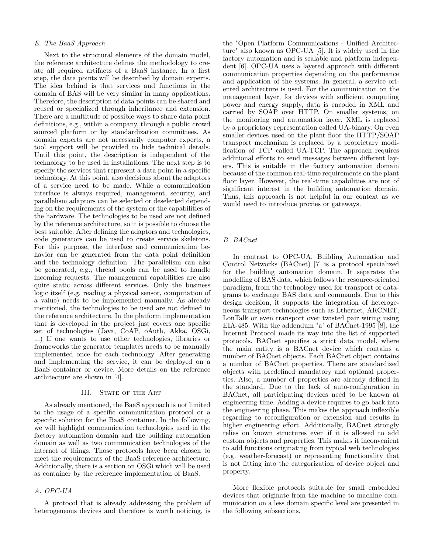#### *E. The BaaS Approach*

Next to the structural elements of the domain model, the reference architecture defines the methodology to create all required artifacts of a BaaS instance. In a first step, the data points will be described by domain experts. The idea behind is that services and functions in the domain of BAS will be very similar in many applications. Therefore, the description of data points can be shared and reused or specialized through inheritance and extension. There are a multitude of possible ways to share data point definitions, e.g., within a company, through a public crowd sourced platform or by standardization committees. As domain experts are not necessarily computer experts, a tool support will be provided to hide technical details. Until this point, the description is independent of the technology to be used in installations. The next step is to specify the services that represent a data point in a specific technology. At this point, also decisions about the adaptors of a service need to be made. While a communication interface is always required, management, security, and parallelism adaptors can be selected or deselected depending on the requirements of the system or the capabilities of the hardware. The technologies to be used are not defined by the reference architecture, so it is possible to choose the best suitable. After defining the adaptors and technologies, code generators can be used to create service skeletons. For this purpose, the interface and communication behavior can be generated from the data point definition and the technology definition. The parallelism can also be generated, e.g., thread pools can be used to handle incoming requests. The management capabilities are also quite static across different services. Only the business logic itself (e.g. reading a physical sensor, computation of a value) needs to be implemented manually. As already mentioned, the technologies to be used are not defined in the reference architecture. In the platform implementation that is developed in the project just covers one specific set of technologies (Java, CoAP, oAuth, Akka, OSGi, ...) If one wants to use other technologies, libraries or frameworks the generator templates needs to be manually implemented once for each technology. After generating and implementing the service, it can be deployed on a BaaS container or device. More details on the reference architecture are shown in [4].

## III. STATE OF THE ART

As already mentioned, the BaaS approach is not limited to the usage of a specific communication protocol or a specific solution for the BaaS container. In the following, we will highlight communication technologies used in the factory automation domain and the building automation domain as well as two communication technologies of the internet of things. Those protocols have been chosen to meet the requirements of the BaaS reference architecture. Additionally, there is a section on OSGi which will be used as container by the reference implementation of BaaS.

## *A. OPC-UA*

A protocol that is already addressing the problem of heterogeneous devices and therefore is worth noticing, is

the "Open Platform Communications - Unified Architecture" also known as OPC-UA [5]. It is widely used in the factory automation and is scalable and platform independent [6]. OPC-UA uses a layered approach with different communication properties depending on the performance and application of the systems. In general, a service oriented architecture is used. For the communication on the management layer, for devices with sufficient computing power and energy supply, data is encoded in XML and carried by SOAP over HTTP. On smaller systems, on the monitoring and automation layer, XML is replaced by a proprietary representation called UA-binary. On even smaller devices used on the plant floor the HTTP/SOAP transport mechanism is replaced by a proprietary modification of TCP called UA-TCP. The approach requires additional efforts to send messages between different layers. This is suitable in the factory automation domain because of the common real-time requirements on the plant floor layer. However, the real-time capabilities are not of significant interest in the building automation domain. Thus, this approach is not helpful in our context as we would need to introduce proxies or gateways.

## *B. BACnet*

In contrast to OPC-UA, Building Automation and Control Networks (BACnet) [7] is a protocol specialized for the building automation domain. It separates the modelling of BAS data, which follows the resource-oriented paradigm, from the technology used for transport of datagrams to exchange BAS data and commands. Due to this design decision, it supports the integration of heterogeneous transport technologies such as Ethernet, ARCNET, LonTalk or even transport over twisted pair wiring using EIA-485. With the addendum "a" of BACnet-1995 [8], the Internet Protocol made its way into the list of supported protocols. BACnet specifies a strict data model, where the main entity is a BACnet device which contains a number of BACnet objects. Each BACnet object contains a number of BACnet properties. There are standardized objects with predefined mandatory and optional properties. Also, a number of properties are already defined in the standard. Due to the lack of auto-configuration in BACnet, all participating devices need to be known at engineering time. Adding a device requires to go back into the engineering phase. This makes the approach inflexible regarding to reconfiguration or extension and results in higher engineering effort. Additionally, BACnet strongly relies on known structures even if it is allowed to add custom objects and properties. This makes it inconvenient to add functions originating from typical web technologies (e.g. weather-forecast) or representing functionality that is not fitting into the categorization of device object and property.

More flexible protocols suitable for small embedded devices that originate from the machine to machine communication on a less domain specific level are presented in the following subsections.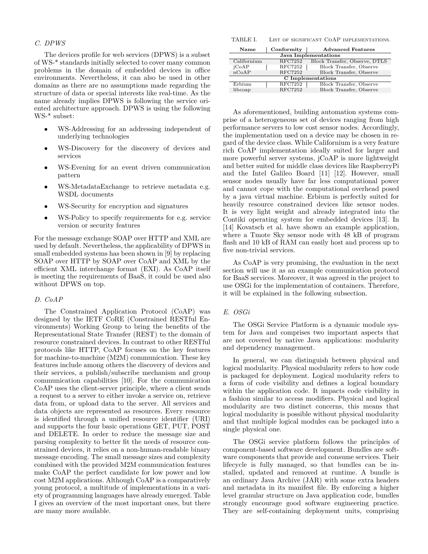# *C. DPWS*

The devices profile for web services (DPWS) is a subset of WS-\* standards initially selected to cover many common problems in the domain of embedded devices in office environments. Nevertheless, it can also be used in other domains as there are no assumptions made regarding the structure of data or special interests like real-time. As the name already implies DPWS is following the service oriented architecture approach. DPWS is using the following WS-\* subset:

- WS-Addressing for an addressing independent of underlying technologies
- WS-Discovery for the discovery of devices and services
- WS-Evening for an event driven communication pattern
- WS-MetadataExchange to retrieve metadata e.g. WSDL documents
- WS-Security for encryption and signatures
- WS-Policy to specify requirements for e.g. service version or security features

For the message exchange SOAP over HTTP and XML are used by default. Nevertheless, the applicability of DPWS in small embedded systems has been shown in [9] by replacing SOAP over HTTP by SOAP over CoAP and XML by the efficient XML interchange format (EXI). As CoAP itself is meeting the requirements of BaaS, it could be used also without DPWS on top.

# *D. CoAP*

The Constrained Application Protocol (CoAP) was designed by the IETF CoRE (Constrained RESTful Environments) Working Group to bring the benefits of the Representational State Transfer (REST) to the domain of resource constrained devices. In contrast to other RESTful protocols like HTTP, CoAP focuses on the key features for machine-to-machine (M2M) communication. These key features include among others the discovery of devices and their services, a publish/subscribe mechanism and group communication capabilities [10]. For the communication CoAP uses the client-server principle, where a client sends a request to a server to either invoke a service on, retrieve data from, or upload data to the server. All services and data objects are represented as resources. Every resource is identified through a unified resource identifier (URI) and supports the four basic operations GET, PUT, POST and DELETE. In order to reduce the message size and parsing complexity to better fit the needs of resource constrained devices, it relies on a non-human-readable binary message encoding. The small message sizes and complexity combined with the provided M2M communication features make CoAP the perfect candidate for low power and low cost M2M applications. Although CoAP is a comparatively young protocol, a multitude of implementations in a variety of programming languages have already emerged. Table I gives an overview of the most important ones, but there are many more available.

TABLE I. LIST OF SIGNIFICANT COAP IMPLEMENTATIONS.

| Name                        | Conformity     | <b>Advanced Features</b>       |  |  |
|-----------------------------|----------------|--------------------------------|--|--|
| <b>Java Implementations</b> |                |                                |  |  |
| Californium                 | <b>RFC7252</b> | Block Transfer, Observe, DTLS  |  |  |
| iCoAP                       | <b>RFC7252</b> | Block Transfer, Observe        |  |  |
| nCoAP                       | RFC7252        | Block Transfer, Observe        |  |  |
| C Implementations           |                |                                |  |  |
| Erbium                      | <b>RFC7252</b> | <b>Block Transfer, Observe</b> |  |  |
| libcoap                     | RFC7252        | Block Transfer, Observe        |  |  |

As aforementioned, building automation systems comprise of a heterogeneous set of devices ranging from high performance servers to low cost sensor nodes. Accordingly, the implementation used on a device may be chosen in regard of the device class. While Californium is a very feature rich CoAP implementation ideally suited for larger and more powerful server systems, jCoAP is more lightweight and better suited for middle class devices like RaspberryPi and the Intel Galileo Board [11] [12]. However, small sensor nodes usually have far less computational power and cannot cope with the computational overhead posed by a java virtual machine. Erbium is perfectly suited for heavily resource constrained devices like sensor nodes. It is very light weight and already integrated into the Contiki operating system for embedded devices [13]. In [14] Kovatsch et al. have shown an example application, where a Tmote Sky sensor node with 48 kB of program flash and 10 kB of RAM can easily host and process up to five non-trivial services.

As CoAP is very promising, the evaluation in the next section will use it as an example communication protocol for BaaS services. Moreover, it was agreed in the project to use OSGi for the implementation of containers. Therefore, it will be explained in the following subsection.

#### *E. OSGi*

The OSGi Service Platform is a dynamic module system for Java and comprises two important aspects that are not covered by native Java applications: modularity and dependency management.

In general, we can distinguish between physical and logical modularity. Physical modularity refers to how code is packaged for deployment. Logical modularity refers to a form of code visibility and defines a logical boundary within the application code. It impacts code visibility in a fashion similar to access modifiers. Physical and logical modularity are two distinct concerns, this means that logical modularity is possible without physical modularity and that multiple logical modules can be packaged into a single physical one.

The OSGi service platform follows the principles of component-based software development. Bundles are software components that provide and consume services. Their lifecycle is fully managed, so that bundles can be installed, updated and removed at runtime. A bundle is an ordinary Java Archive (JAR) with some extra headers and metadata in its manifest file. By enforcing a higher level granular structure on Java application code, bundles strongly encourage good software engineering practice. They are self-containing deployment units, comprising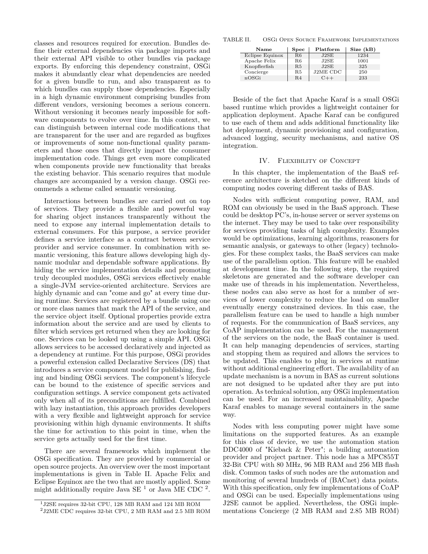classes and resources required for execution. Bundles define their external dependencies via package imports and their external API visible to other bundles via package exports. By enforcing this dependency constraint, OSGi makes it abundantly clear what dependencies are needed for a given bundle to run, and also transparent as to which bundles can supply those dependencies. Especially in a high dynamic environment comprising bundles from different vendors, versioning becomes a serious concern. Without versioning it becomes nearly impossible for software components to evolve over time. In this context, we can distinguish between internal code modifications that are transparent for the user and are regarded as bugfixes or improvements of some non-functional quality parameters and those ones that directly impact the consumer implementation code. Things get even more complicated when components provide new functionality that breaks the existing behavior. This scenario requires that module changes are accompanied by a version change. OSGi recommends a scheme called semantic versioning.

Interactions between bundles are carried out on top of services. They provide a flexible and powerful way for sharing object instances transparently without the need to expose any internal implementation details to external consumers. For this purpose, a service provider defines a service interface as a contract between service provider and service consumer. In combination with semantic versioning, this feature allows developing high dynamic modular and dependable software applications. By hiding the service implementation details and promoting truly decoupled modules, OSGi services effectively enable a single-JVM service-oriented architecture. Services are highly dynamic and can "come and go" at every time during runtime. Services are registered by a bundle using one or more class names that mark the API of the service, and the service object itself. Optional properties provide extra information about the service and are used by clients to filter which services get returned when they are looking for one. Services can be looked up using a simple API. OSGi allows services to be accessed declaratively and injected as a dependency at runtime. For this purpose, OSGi provides a powerful extension called Declarative Services (DS) that introduces a service component model for publishing, finding and binding OSGi services. The component's lifecycle can be bound to the existence of specific services and configuration settings. A service component gets activated only when all of its preconditions are fulfilled. Combined with lazy instantiation, this approach provides developers with a very flexible and lightweight approach for service provisioning within high dynamic environments. It shifts the time for activation to this point in time, when the service gets actually used for the first time.

There are several frameworks which implement the OSGi specification. They are provided by commercial or open source projects. An overview over the most important implementations is given in Table II. Apache Felix and Eclipse Equinox are the two that are mostly applied. Some might additionally require Java SE  $^1$  or Java ME CDC  $^2$ .

TABLE II. OSGi Open Source Framework Implementations

| Name            | Spec           | Platform        | Size (kB) |
|-----------------|----------------|-----------------|-----------|
| Eclipse Equinox | R6             | J2SE            | 1234      |
| Apache Felix    | R6             | J2SE            | 1001      |
| Knopflerfish    | R5             | J2SE            | 325       |
| Concierge       | R5             | <b>J2ME CDC</b> | 250       |
| nOSGi           | R <sub>4</sub> |                 | 233       |

Beside of the fact that Apache Karaf is a small OSGi based runtime which provides a lightweight container for application deployment. Apache Karaf can be configured to use each of them and adds additional functionality like hot deployment, dynamic provisioning and configuration, advanced logging, security mechanisms, and native OS integration.

# IV. Flexibility of Concept

In this chapter, the implementation of the BaaS reference architecture is sketched on the different kinds of computing nodes covering different tasks of BAS.

Nodes with sufficient computing power, RAM, and ROM can obviously be used in the BaaS approach. These could be desktop PC's, in-house server or server systems on the internet. They may be used to take over responsibility for services providing tasks of high complexity. Examples would be optimizations, learning algorithms, reasoners for semantic analysis, or gateways to other (legacy) technologies. For these complex tasks, the BaaS services can make use of the parallelism option. This feature will be enabled at development time. In the following step, the required skeletons are generated and the software developer can make use of threads in his implementation. Nevertheless, these nodes can also serve as host for a number of services of lower complexity to reduce the load on smaller eventually energy constrained devices. In this case, the parallelism feature can be used to handle a high number of requests. For the communication of BaaS services, any CoAP implementation can be used. For the management of the services on the node, the BaaS container is used. It can help managing dependencies of services, starting and stopping them as required and allows the services to be updated. This enables to plug in services at runtime without additional engineering effort. The availability of an update mechanism is a novum in BAS as current solutions are not designed to be updated after they are put into operation. As technical solution, any OSGi implementation can be used. For an increased maintainability, Apache Karaf enables to manage several containers in the same way.

Nodes with less computing power might have some limitations on the supported features. As an example for this class of device, we use the automation station DDC4000 of "Kieback & Peter"; a building automation provider and project partner. This node has a MPC855T 32-Bit CPU with 80 MHz, 96 MB RAM and 256 MB flash disk. Common tasks of such nodes are the automation and monitoring of several hundreds of (BACnet) data points. With this specification, only few implementations of CoAP and OSGi can be used. Especially implementations using J2SE cannot be applied. Nevertheless, the OSGi implementations Concierge (2 MB RAM and 2.85 MB ROM)

<sup>1</sup>J2SE requires 32-bit CPU, 128 MB RAM and 124 MB ROM

<sup>2</sup>J2ME CDC requires 32-bit CPU, 2 MB RAM and 2*.*5 MB ROM